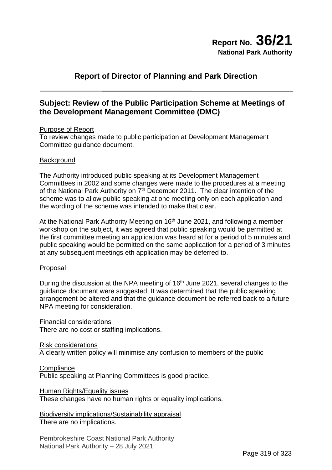# **Report of Director of Planning and Park Direction**

# **Subject: Review of the Public Participation Scheme at Meetings of the Development Management Committee (DMC)**

# Purpose of Report

To review changes made to public participation at Development Management Committee guidance document.

#### **Background**

The Authority introduced public speaking at its Development Management Committees in 2002 and some changes were made to the procedures at a meeting of the National Park Authority on 7<sup>th</sup> December 2011. The clear intention of the scheme was to allow public speaking at one meeting only on each application and the wording of the scheme was intended to make that clear.

At the National Park Authority Meeting on  $16<sup>th</sup>$  June 2021, and following a member workshop on the subject, it was agreed that public speaking would be permitted at the first committee meeting an application was heard at for a period of 5 minutes and public speaking would be permitted on the same application for a period of 3 minutes at any subsequent meetings eth application may be deferred to.

#### Proposal

During the discussion at the NPA meeting of 16<sup>th</sup> June 2021, several changes to the guidance document were suggested. It was determined that the public speaking arrangement be altered and that the guidance document be referred back to a future NPA meeting for consideration.

Financial considerations

There are no cost or staffing implications.

Risk considerations

A clearly written policy will minimise any confusion to members of the public

**Compliance** 

Public speaking at Planning Committees is good practice.

Human Rights/Equality issues

These changes have no human rights or equality implications.

Biodiversity implications/Sustainability appraisal There are no implications.

Pembrokeshire Coast National Park Authority National Park Authority – 28 July 2021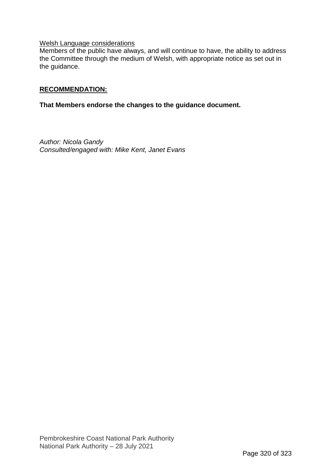# Welsh Language considerations

Members of the public have always, and will continue to have, the ability to address the Committee through the medium of Welsh, with appropriate notice as set out in the guidance.

# **RECOMMENDATION:**

# **That Members endorse the changes to the guidance document.**

*Author: Nicola Gandy Consulted/engaged with: Mike Kent, Janet Evans*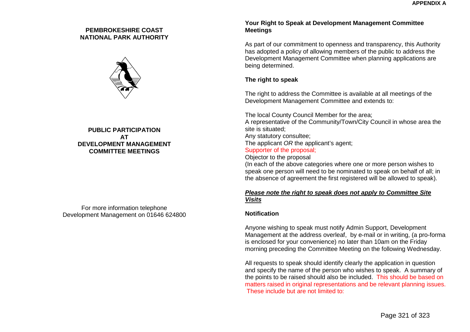#### **PEMBROKESHIRE COAST NATIONAL PARK AUTHORITY**



# **PUBLIC PARTICIPATION AT DEVELOPMENT MANAGEMENT COMMITTEE MEETINGS**

For more information telephone Development Management on 01646 624800

## **Your Right to Speak at Development Management Committee Meetings**

As part of our commitment to openness and transparency, this Authority has adopted a policy of allowing members of the public to address the Development Management Committee when planning applications are being determined.

# **The right to speak**

The right to address the Committee is available at all meetings of the Development Management Committee and extends to:

The local County Council Member for the area; A representative of the Community/Town/City Council in whose area the site is situated; Any statutory consultee; The applicant *OR* the applicant's agent: Supporter of the proposal; Objector to the proposal (In each of the above categories where one or more person wishes to speak one person will need to be nominated to speak on behalf of all; in

# the absence of agreement the first registered will be allowed to speak).

#### *Please note the right to speak does not apply to Committee Site Visits*

## **Notification**

 Anyone wishing to speak must notify Admin Support, Development Management at the address overleaf, by e-mail or in writing, (a pro-forma is enclosed for your convenience) no later than 10am on the Friday morning preceding the Committee Meeting on the following Wednesday.

All requests to speak should identify clearly the application in question and specify the name of the person who wishes to speak. A summary of the points to be raised should also be included. This should be based on matters raised in original representations and be relevant planning issues. These include but are not limited to: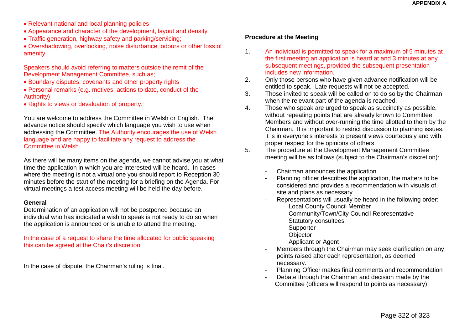- Relevant national and local planning policies
- Appearance and character of the development, layout and density
- Traffic generation, highway safety and parking/servicing;

• Overshadowing, overlooking, noise disturbance, odours or other loss of amenity.

Speakers should avoid referring to matters outside the remit of the Development Management Committee, such as;

- Boundary disputes, covenants and other property rights
- Personal remarks (e.g. motives, actions to date, conduct of the Authority)
- Rights to views or devaluation of property.

You are welcome to address the Committee in Welsh or English. The advance notice should specify which language you wish to use when addressing the Committee. The Authority encourages the use of Welsh language and are happy to facilitate any request to address the Committee in Welsh.

As there will be many items on the agenda, we cannot advise you at what time the application in which you are interested will be heard. In cases where the meeting is not a virtual one you should report to Reception 30 minutes before the start of the meeting for a briefing on the Agenda. For virtual meetings a test access meeting will be held the day before.

#### **General**

Determination of an application will not be postponed because an individual who has indicated a wish to speak is not ready to do so when the application is announced or is unable to attend the meeting.

In the case of a request to share the time allocated for public speaking this can be agreed at the Chair's discretion.

In the case of dispute, the Chairman's ruling is final.

# **Procedure at the Meeting**

- 1. An individual is permitted to speak for a maximum of 5 minutes at the first meeting an application is heard at and 3 minutes at any subsequent meetings, provided the subsequent presentation includes new information.
- 2. Only those persons who have given advance notification will be entitled to speak. Late requests will not be accepted.
- 3. Those invited to speak will be called on to do so by the Chairman when the relevant part of the agenda is reached.
- 4. Those who speak are urged to speak as succinctly as possible, without repeating points that are already known to Committee Members and without over-running the time allotted to them by the Chairman. It is important to restrict discussion to planning issues. It is in everyone's interests to present views courteously and with proper respect for the opinions of others.
- 5. The procedure at the Development Management Committee meeting will be as follows (subject to the Chairman's discretion):
	- Chairman announces the application
	- Planning officer describes the application, the matters to be considered and provides a recommendation with visuals of site and plans as necessary
	- Representations will usually be heard in the following order: Local County Council Member
		- Community/Town/City Council Representative
		- Statutory consultees
		- Supporter
		- **Objector**
		- Applicant or Agent
	- Members through the Chairman may seek clarification on any points raised after each representation, as deemed necessary.
	- Planning Officer makes final comments and recommendation
	- Debate through the Chairman and decision made by the Committee (officers will respond to points as necessary)